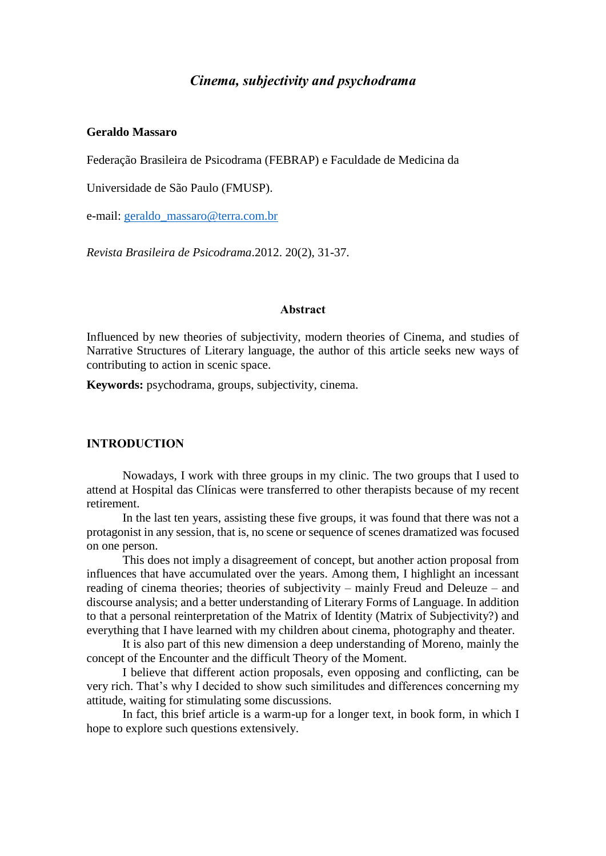# *Cinema, subjectivity and psychodrama*

# **Geraldo Massaro**

Federação Brasileira de Psicodrama (FEBRAP) e Faculdade de Medicina da

Universidade de São Paulo (FMUSP).

e-mail: [geraldo\\_massaro@terra.com.br](mailto:geraldo_massaro@terra.com.br)

*Revista Brasileira de Psicodrama*.2012. 20(2), 31-37.

#### **Abstract**

Influenced by new theories of subjectivity, modern theories of Cinema, and studies of Narrative Structures of Literary language, the author of this article seeks new ways of contributing to action in scenic space.

**Keywords:** psychodrama, groups, subjectivity, cinema.

#### **INTRODUCTION**

Nowadays, I work with three groups in my clinic. The two groups that I used to attend at Hospital das Clínicas were transferred to other therapists because of my recent retirement.

In the last ten years, assisting these five groups, it was found that there was not a protagonist in any session, that is, no scene or sequence of scenes dramatized was focused on one person.

This does not imply a disagreement of concept, but another action proposal from influences that have accumulated over the years. Among them, I highlight an incessant reading of cinema theories; theories of subjectivity – mainly Freud and Deleuze – and discourse analysis; and a better understanding of Literary Forms of Language. In addition to that a personal reinterpretation of the Matrix of Identity (Matrix of Subjectivity?) and everything that I have learned with my children about cinema, photography and theater.

It is also part of this new dimension a deep understanding of Moreno, mainly the concept of the Encounter and the difficult Theory of the Moment.

I believe that different action proposals, even opposing and conflicting, can be very rich. That's why I decided to show such similitudes and differences concerning my attitude, waiting for stimulating some discussions.

In fact, this brief article is a warm-up for a longer text, in book form, in which I hope to explore such questions extensively.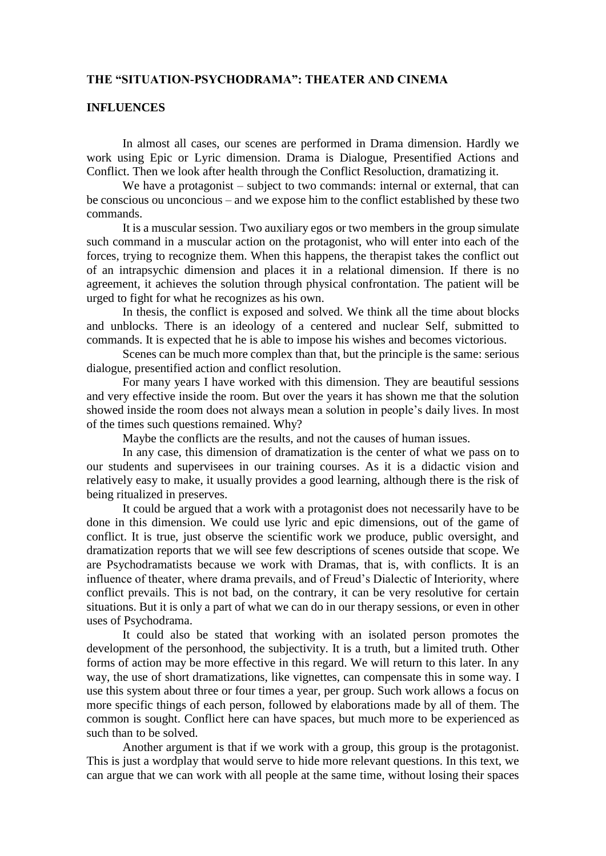# **THE "SITUATION-PSYCHODRAMA": THEATER AND CINEMA**

## **INFLUENCES**

In almost all cases, our scenes are performed in Drama dimension. Hardly we work using Epic or Lyric dimension. Drama is Dialogue, Presentified Actions and Conflict. Then we look after health through the Conflict Resoluction, dramatizing it.

We have a protagonist – subject to two commands: internal or external, that can be conscious ou unconcious – and we expose him to the conflict established by these two commands.

It is a muscular session. Two auxiliary egos or two members in the group simulate such command in a muscular action on the protagonist, who will enter into each of the forces, trying to recognize them. When this happens, the therapist takes the conflict out of an intrapsychic dimension and places it in a relational dimension. If there is no agreement, it achieves the solution through physical confrontation. The patient will be urged to fight for what he recognizes as his own.

In thesis, the conflict is exposed and solved. We think all the time about blocks and unblocks. There is an ideology of a centered and nuclear Self, submitted to commands. It is expected that he is able to impose his wishes and becomes victorious.

Scenes can be much more complex than that, but the principle is the same: serious dialogue, presentified action and conflict resolution.

For many years I have worked with this dimension. They are beautiful sessions and very effective inside the room. But over the years it has shown me that the solution showed inside the room does not always mean a solution in people's daily lives. In most of the times such questions remained. Why?

Maybe the conflicts are the results, and not the causes of human issues.

In any case, this dimension of dramatization is the center of what we pass on to our students and supervisees in our training courses. As it is a didactic vision and relatively easy to make, it usually provides a good learning, although there is the risk of being ritualized in preserves.

It could be argued that a work with a protagonist does not necessarily have to be done in this dimension. We could use lyric and epic dimensions, out of the game of conflict. It is true, just observe the scientific work we produce, public oversight, and dramatization reports that we will see few descriptions of scenes outside that scope. We are Psychodramatists because we work with Dramas, that is, with conflicts. It is an influence of theater, where drama prevails, and of Freud's Dialectic of Interiority, where conflict prevails. This is not bad, on the contrary, it can be very resolutive for certain situations. But it is only a part of what we can do in our therapy sessions, or even in other uses of Psychodrama.

It could also be stated that working with an isolated person promotes the development of the personhood, the subjectivity. It is a truth, but a limited truth. Other forms of action may be more effective in this regard. We will return to this later. In any way, the use of short dramatizations, like vignettes, can compensate this in some way. I use this system about three or four times a year, per group. Such work allows a focus on more specific things of each person, followed by elaborations made by all of them. The common is sought. Conflict here can have spaces, but much more to be experienced as such than to be solved.

Another argument is that if we work with a group, this group is the protagonist. This is just a wordplay that would serve to hide more relevant questions. In this text, we can argue that we can work with all people at the same time, without losing their spaces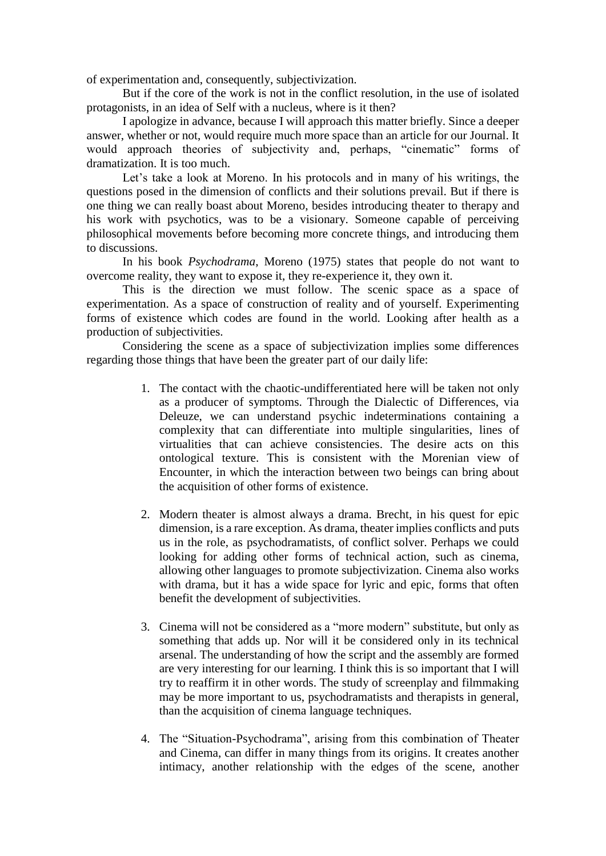of experimentation and, consequently, subjectivization.

But if the core of the work is not in the conflict resolution, in the use of isolated protagonists, in an idea of Self with a nucleus, where is it then?

I apologize in advance, because I will approach this matter briefly. Since a deeper answer, whether or not, would require much more space than an article for our Journal. It would approach theories of subjectivity and, perhaps, "cinematic" forms of dramatization. It is too much.

Let's take a look at Moreno. In his protocols and in many of his writings, the questions posed in the dimension of conflicts and their solutions prevail. But if there is one thing we can really boast about Moreno, besides introducing theater to therapy and his work with psychotics, was to be a visionary. Someone capable of perceiving philosophical movements before becoming more concrete things, and introducing them to discussions.

In his book *Psychodrama*, Moreno (1975) states that people do not want to overcome reality, they want to expose it, they re-experience it, they own it.

This is the direction we must follow. The scenic space as a space of experimentation. As a space of construction of reality and of yourself. Experimenting forms of existence which codes are found in the world. Looking after health as a production of subjectivities.

Considering the scene as a space of subjectivization implies some differences regarding those things that have been the greater part of our daily life:

- 1. The contact with the chaotic-undifferentiated here will be taken not only as a producer of symptoms. Through the Dialectic of Differences, via Deleuze, we can understand psychic indeterminations containing a complexity that can differentiate into multiple singularities, lines of virtualities that can achieve consistencies. The desire acts on this ontological texture. This is consistent with the Morenian view of Encounter, in which the interaction between two beings can bring about the acquisition of other forms of existence.
- 2. Modern theater is almost always a drama. Brecht, in his quest for epic dimension, is a rare exception. As drama, theater implies conflicts and puts us in the role, as psychodramatists, of conflict solver. Perhaps we could looking for adding other forms of technical action, such as cinema, allowing other languages to promote subjectivization. Cinema also works with drama, but it has a wide space for lyric and epic, forms that often benefit the development of subjectivities.
- 3. Cinema will not be considered as a "more modern" substitute, but only as something that adds up. Nor will it be considered only in its technical arsenal. The understanding of how the script and the assembly are formed are very interesting for our learning. I think this is so important that I will try to reaffirm it in other words. The study of screenplay and filmmaking may be more important to us, psychodramatists and therapists in general, than the acquisition of cinema language techniques.
- 4. The "Situation-Psychodrama", arising from this combination of Theater and Cinema, can differ in many things from its origins. It creates another intimacy, another relationship with the edges of the scene, another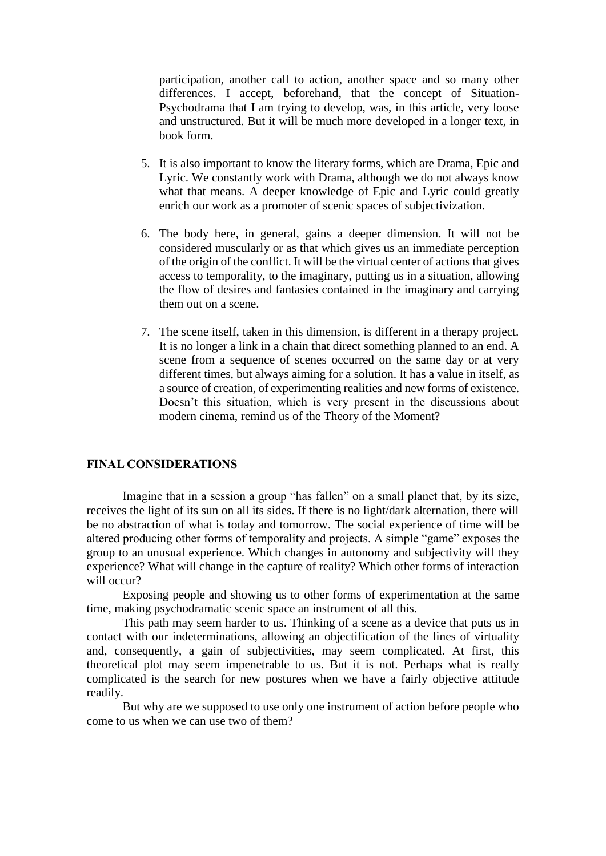participation, another call to action, another space and so many other differences. I accept, beforehand, that the concept of Situation-Psychodrama that I am trying to develop, was, in this article, very loose and unstructured. But it will be much more developed in a longer text, in book form.

- 5. It is also important to know the literary forms, which are Drama, Epic and Lyric. We constantly work with Drama, although we do not always know what that means. A deeper knowledge of Epic and Lyric could greatly enrich our work as a promoter of scenic spaces of subjectivization.
- 6. The body here, in general, gains a deeper dimension. It will not be considered muscularly or as that which gives us an immediate perception of the origin of the conflict. It will be the virtual center of actions that gives access to temporality, to the imaginary, putting us in a situation, allowing the flow of desires and fantasies contained in the imaginary and carrying them out on a scene.
- 7. The scene itself, taken in this dimension, is different in a therapy project. It is no longer a link in a chain that direct something planned to an end. A scene from a sequence of scenes occurred on the same day or at very different times, but always aiming for a solution. It has a value in itself, as a source of creation, of experimenting realities and new forms of existence. Doesn't this situation, which is very present in the discussions about modern cinema, remind us of the Theory of the Moment?

# **FINAL CONSIDERATIONS**

Imagine that in a session a group "has fallen" on a small planet that, by its size, receives the light of its sun on all its sides. If there is no light/dark alternation, there will be no abstraction of what is today and tomorrow. The social experience of time will be altered producing other forms of temporality and projects. A simple "game" exposes the group to an unusual experience. Which changes in autonomy and subjectivity will they experience? What will change in the capture of reality? Which other forms of interaction will occur?

Exposing people and showing us to other forms of experimentation at the same time, making psychodramatic scenic space an instrument of all this.

This path may seem harder to us. Thinking of a scene as a device that puts us in contact with our indeterminations, allowing an objectification of the lines of virtuality and, consequently, a gain of subjectivities, may seem complicated. At first, this theoretical plot may seem impenetrable to us. But it is not. Perhaps what is really complicated is the search for new postures when we have a fairly objective attitude readily.

But why are we supposed to use only one instrument of action before people who come to us when we can use two of them?